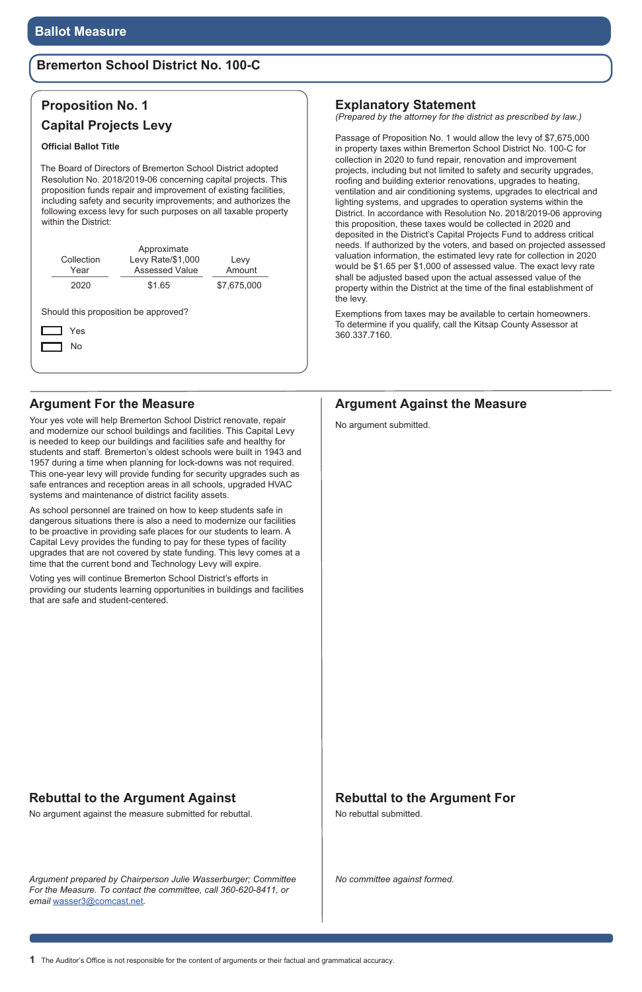### **Argument For the Measure**

Your yes vote will help Bremerton School District renovate, repair and modernize our school buildings and facilities. This Capital Levy is needed to keep our buildings and facilities safe and healthy for students and staff. Bremerton's oldest schools were built in 1943 and 1957 during a time when planning for lock-downs was not required. This one-year levy will provide funding for security upgrades such as safe entrances and reception areas in all schools, upgraded HVAC systems and maintenance of district facility assets.

As school personnel are trained on how to keep students safe in dangerous situations there is also a need to modernize our facilities to be proactive in providing safe places for our students to learn. A Capital Levy provides the funding to pay for these types of facility upgrades that are not covered by state funding. This levy comes at a time that the current bond and Technology Levy will expire.

Voting yes will continue Bremerton School District's efforts in providing our students learning opportunities in buildings and facilities that are safe and student-centered.

### **Rebuttal to the Argument Against**

No argument against the measure submitted for rebuttal.

# **Rebuttal to the Argument For**

No rebuttal submitted.

# **Proposition No. 1 Capital Projects Levy**

#### **Official Ballot Title**

The Board of Directors of Bremerton School District adopted Resolution No. 2018/2019-06 concerning capital projects. This proposition funds repair and improvement of existing facilities, including safety and security improvements; and authorizes the following excess levy for such purposes on all taxable property within the District:

| Collection<br>Year | Approximate<br>Levy Rate/\$1,000<br><b>Assessed Value</b> | Levy<br>Amount |  |
|--------------------|-----------------------------------------------------------|----------------|--|
| 2020               | \$1.65                                                    | \$7,675,000    |  |
|                    |                                                           |                |  |
| Yes<br>No          | Should this proposition be approved?                      |                |  |

*Argument prepared by Chairperson Julie Wasserburger; Committee For the Measure. To contact the committee, call 360-620-8411, or email* wasser3@comcast.net*.* 

### **Argument Against the Measure**

No argument submitted.

*No committee against formed.*

### **Bremerton School District No. 100-C**

#### **Explanatory Statement**

*(Prepared by the attorney for the district as prescribed by law.)*

Passage of Proposition No. 1 would allow the levy of \$7,675,000 in property taxes within Bremerton School District No. 100-C for collection in 2020 to fund repair, renovation and improvement projects, including but not limited to safety and security upgrades, roofing and building exterior renovations, upgrades to heating, ventilation and air conditioning systems, upgrades to electrical and lighting systems, and upgrades to operation systems within the District. In accordance with Resolution No. 2018/2019-06 approving this proposition, these taxes would be collected in 2020 and deposited in the District's Capital Projects Fund to address critical needs. If authorized by the voters, and based on projected assessed valuation information, the estimated levy rate for collection in 2020 would be \$1.65 per \$1,000 of assessed value. The exact levy rate shall be adjusted based upon the actual assessed value of the property within the District at the time of the final establishment of the levy.

Exemptions from taxes may be available to certain homeowners. To determine if you qualify, call the Kitsap County Assessor at 360.337.7160.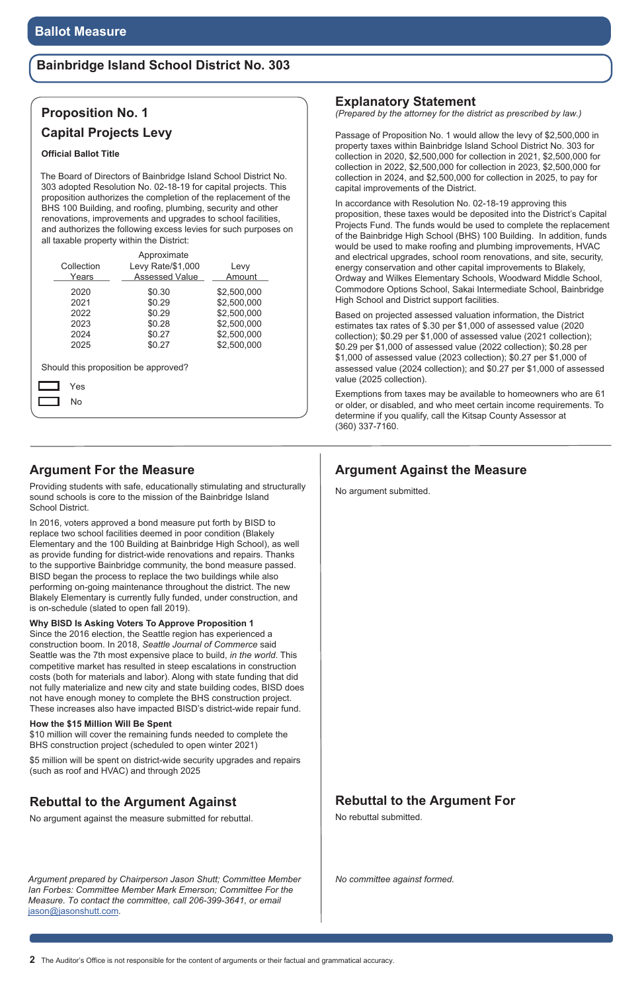### **Bainbridge Island School District No. 303**

### **Argument For the Measure**

Providing students with safe, educationally stimulating and structurally sound schools is core to the mission of the Bainbridge Island School District.

In 2016, voters approved a bond measure put forth by BISD to replace two school facilities deemed in poor condition (Blakely Elementary and the 100 Building at Bainbridge High School), as well as provide funding for district-wide renovations and repairs. Thanks to the supportive Bainbridge community, the bond measure passed. BISD began the process to replace the two buildings while also performing on-going maintenance throughout the district. The new Blakely Elementary is currently fully funded, under construction, and is on-schedule (slated to open fall 2019).

**Why BISD Is Asking Voters To Approve Proposition 1**

Since the 2016 election, the Seattle region has experienced a construction boom. In 2018, *Seattle Journal of Commerce* said Seattle was the 7th most expensive place to build, *in the world*. This competitive market has resulted in steep escalations in construction costs (both for materials and labor). Along with state funding that did not fully materialize and new city and state building codes, BISD does not have enough money to complete the BHS construction project. These increases also have impacted BISD's district-wide repair fund.

#### **How the \$15 Million Will Be Spent**

\$10 million will cover the remaining funds needed to complete the BHS construction project (scheduled to open winter 2021)

\$5 million will be spent on district-wide security upgrades and repairs (such as roof and HVAC) and through 2025

*Argument prepared by Chairperson Jason Shutt; Committee Member Ian Forbes: Committee Member Mark Emerson; Committee For the Measure. To contact the committee, call 206-399-3641, or email*  jason@jasonshutt.com*.* 

### **Argument Against the Measure**

No argument submitted.

*No committee against formed.*

### **Explanatory Statement**

*(Prepared by the attorney for the district as prescribed by law.)*

Passage of Proposition No. 1 would allow the levy of \$2,500,000 in property taxes within Bainbridge Island School District No. 303 for collection in 2020, \$2,500,000 for collection in 2021, \$2,500,000 for collection in 2022, \$2,500,000 for collection in 2023, \$2,500,000 for collection in 2024, and \$2,500,000 for collection in 2025, to pay for capital improvements of the District.

In accordance with Resolution No. 02-18-19 approving this proposition, these taxes would be deposited into the District's Capital Projects Fund. The funds would be used to complete the replacement of the Bainbridge High School (BHS) 100 Building. In addition, funds would be used to make roofing and plumbing improvements, HVAC and electrical upgrades, school room renovations, and site, security, energy conservation and other capital improvements to Blakely, Ordway and Wilkes Elementary Schools, Woodward Middle School, Commodore Options School, Sakai Intermediate School, Bainbridge High School and District support facilities.

Based on projected assessed valuation information, the District estimates tax rates of \$.30 per \$1,000 of assessed value (2020 collection); \$0.29 per \$1,000 of assessed value (2021 collection); \$0.29 per \$1,000 of assessed value (2022 collection); \$0.28 per \$1,000 of assessed value (2023 collection); \$0.27 per \$1,000 of assessed value (2024 collection); and \$0.27 per \$1,000 of assessed value (2025 collection).

Exemptions from taxes may be available to homeowners who are 61 or older, or disabled, and who meet certain income requirements. To determine if you qualify, call the Kitsap County Assessor at (360) 337-7160.

### **Rebuttal to the Argument Against**

No argument against the measure submitted for rebuttal.

### **Rebuttal to the Argument For**

No rebuttal submitted.

# **Proposition No. 1**

### **Capital Projects Levy**

#### **Official Ballot Title**

The Board of Directors of Bainbridge Island School District No. 303 adopted Resolution No. 02-18-19 for capital projects. This proposition authorizes the completion of the replacement of the BHS 100 Building, and roofing, plumbing, security and other renovations, improvements and upgrades to school facilities, and authorizes the following excess levies for such purposes on all taxable property within the District:

|                                      | Approximate           |             |  |  |  |
|--------------------------------------|-----------------------|-------------|--|--|--|
| Collection                           | Levy Rate/\$1,000     | Levy        |  |  |  |
| Years                                | <b>Assessed Value</b> | Amount      |  |  |  |
| 2020                                 | \$0.30                | \$2,500,000 |  |  |  |
| 2021                                 | \$0.29                | \$2,500,000 |  |  |  |
| 2022                                 | \$0.29                | \$2,500,000 |  |  |  |
| 2023                                 | \$0.28                | \$2,500,000 |  |  |  |
| 2024                                 | \$0.27                | \$2,500,000 |  |  |  |
| 2025                                 | \$0.27                | \$2,500,000 |  |  |  |
| Should this proposition be approved? |                       |             |  |  |  |
| Yes                                  |                       |             |  |  |  |
| No                                   |                       |             |  |  |  |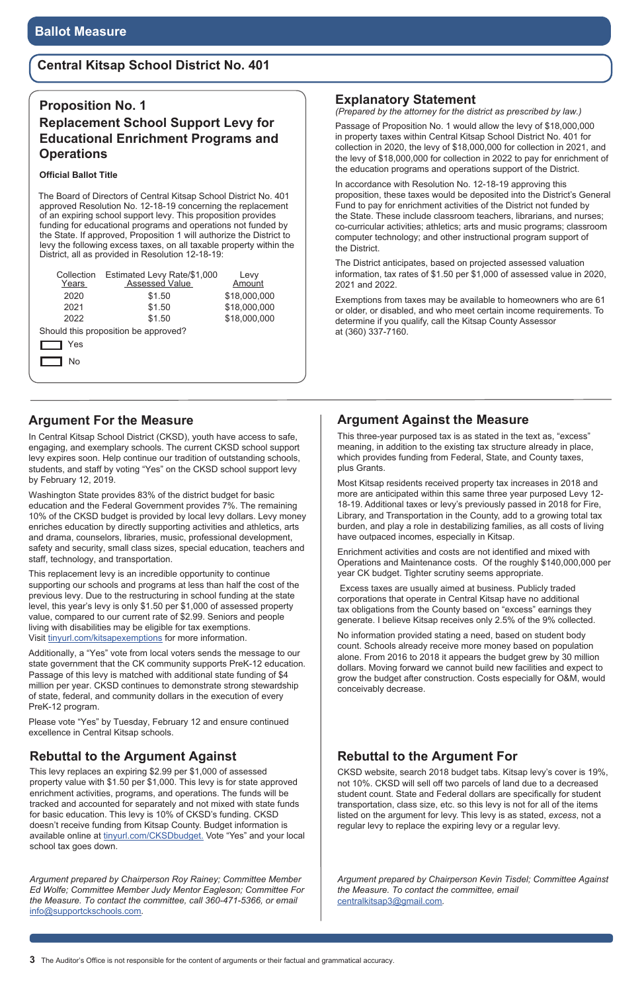# **Central Kitsap School District No. 401**

### **Argument For the Measure**

In Central Kitsap School District (CKSD), youth have access to safe, engaging, and exemplary schools. The current CKSD school support levy expires soon. Help continue our tradition of outstanding schools, students, and staff by voting "Yes" on the CKSD school support levy by February 12, 2019.

This replacement levy is an incredible opportunity to continue supporting our schools and programs at less than half the cost of the previous levy. Due to the restructuring in school funding at the state level, this year's levy is only \$1.50 per \$1,000 of assessed property value, compared to our current rate of \$2.99. Seniors and people living with disabilities may be eligible for tax exemptions. Visit tinyurl.com/kitsapexemptions for more information.

Washington State provides 83% of the district budget for basic education and the Federal Government provides 7%. The remaining 10% of the CKSD budget is provided by local levy dollars. Levy money enriches education by directly supporting activities and athletics, arts and drama, counselors, libraries, music, professional development, safety and security, small class sizes, special education, teachers and staff, technology, and transportation.

Additionally, a "Yes" vote from local voters sends the message to our state government that the CK community supports PreK-12 education. Passage of this levy is matched with additional state funding of \$4 million per year. CKSD continues to demonstrate strong stewardship of state, federal, and community dollars in the execution of every PreK-12 program.

Please vote "Yes" by Tuesday, February 12 and ensure continued

### **Rebuttal to the Argument Against**

This levy replaces an expiring \$2.99 per \$1,000 of assessed property value with \$1.50 per \$1,000. This levy is for state approved enrichment activities, programs, and operations. The funds will be tracked and accounted for separately and not mixed with state funds for basic education. This levy is 10% of CKSD's funding. CKSD doesn't receive funding from Kitsap County. Budget information is available online at tinyurl.com/CKSDbudget. Vote "Yes" and your local school tax goes down.

*Argument prepared by Chairperson Roy Rainey; Committee Member Ed Wolfe; Committee Member Judy Mentor Eagleson; Committee For the Measure. To contact the committee, call 360-471-5366, or email*  info@supportckschools.com*.* 

#### **Proposition No. 1**

### **Replacement School Support Levy for Educational Enrichment Programs and Operations**

#### **Official Ballot Title**

The Board of Directors of Central Kitsap School District No. 401 approved Resolution No. 12-18-19 concerning the replacement of an expiring school support levy. This proposition provides funding for educational programs and operations not funded by the State. If approved, Proposition 1 will authorize the District to levy the following excess taxes, on all taxable property within the District, all as provided in Resolution 12-18-19:

| Collection<br>Years | Estimated Levy Rate/\$1,000<br>Assessed Value | Levy<br>Amount |
|---------------------|-----------------------------------------------|----------------|
| 2020                | \$1.50                                        | \$18,000,000   |
| 2021                | \$1.50                                        | \$18,000,000   |
| 2022                | \$1.50                                        | \$18,000,000   |
|                     | Should this proposition be approved?          |                |
| Yes                 |                                               |                |
| No                  |                                               |                |

#### **Explanatory Statement**

*(Prepared by the attorney for the district as prescribed by law.)*

Passage of Proposition No. 1 would allow the levy of \$18,000,000 in property taxes within Central Kitsap School District No. 401 for collection in 2020, the levy of \$18,000,000 for collection in 2021, and the levy of \$18,000,000 for collection in 2022 to pay for enrichment of the education programs and operations support of the District.

In accordance with Resolution No. 12-18-19 approving this proposition, these taxes would be deposited into the District's General Fund to pay for enrichment activities of the District not funded by the State. These include classroom teachers, librarians, and nurses; co-curricular activities; athletics; arts and music programs; classroom computer technology; and other instructional program support of the District.

The District anticipates, based on projected assessed valuation information, tax rates of \$1.50 per \$1,000 of assessed value in 2020, 2021 and 2022.

Exemptions from taxes may be available to homeowners who are 61 or older, or disabled, and who meet certain income requirements. To determine if you qualify, call the Kitsap County Assessor at (360) 337-7160.

# **Rebuttal to the Argument For**

CKSD website, search 2018 budget tabs. Kitsap levy's cover is 19%, not 10%. CKSD will sell off two parcels of land due to a decreased student count. State and Federal dollars are specifically for student transportation, class size, etc. so this levy is not for all of the items listed on the argument for levy. This levy is as stated, *excess*, not a regular levy to replace the expiring levy or a regular levy.

# **Argument Against the Measure**

This three-year purposed tax is as stated in the text as, "excess" meaning, in addition to the existing tax structure already in place, which provides funding from Federal, State, and County taxes, plus Grants.

Most Kitsap residents received property tax increases in 2018 and more are anticipated within this same three year purposed Levy 12- 18-19. Additional taxes or levy's previously passed in 2018 for Fire, Library, and Transportation in the County, add to a growing total tax burden, and play a role in destabilizing families, as all costs of living have outpaced incomes, especially in Kitsap.

Enrichment activities and costs are not identified and mixed with Operations and Maintenance costs. Of the roughly \$140,000,000 per year CK budget. Tighter scrutiny seems appropriate.

 Excess taxes are usually aimed at business. Publicly traded corporations that operate in Central Kitsap have no additional tax obligations from the County based on "excess" earnings they generate. I believe Kitsap receives only 2.5% of the 9% collected.

No information provided stating a need, based on student body count. Schools already receive more money based on population alone. From 2016 to 2018 it appears the budget grew by 30 million dollars. Moving forward we cannot build new facilities and expect to grow the budget after construction. Costs especially for O&M, would conceivably decrease.

*Argument prepared by Chairperson Kevin Tisdel; Committee Against the Measure. To contact the committee, email* centralkitsap3@gmail.com*.*